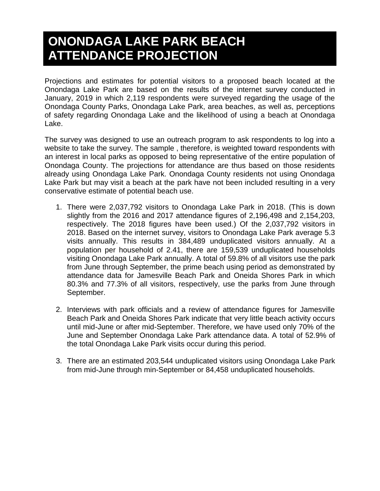## **ONONDAGA LAKE PARK BEACH ATTENDANCE PROJECTION**

Projections and estimates for potential visitors to a proposed beach located at the Onondaga Lake Park are based on the results of the internet survey conducted in January, 2019 in which 2,119 respondents were surveyed regarding the usage of the Onondaga County Parks, Onondaga Lake Park, area beaches, as well as, perceptions of safety regarding Onondaga Lake and the likelihood of using a beach at Onondaga Lake.

The survey was designed to use an outreach program to ask respondents to log into a website to take the survey. The sample , therefore, is weighted toward respondents with an interest in local parks as opposed to being representative of the entire population of Onondaga County. The projections for attendance are thus based on those residents already using Onondaga Lake Park. Onondaga County residents not using Onondaga Lake Park but may visit a beach at the park have not been included resulting in a very conservative estimate of potential beach use.

- 1. There were 2,037,792 visitors to Onondaga Lake Park in 2018. (This is down slightly from the 2016 and 2017 attendance figures of 2,196,498 and 2,154,203, respectively. The 2018 figures have been used.) Of the 2,037,792 visitors in 2018. Based on the internet survey, visitors to Onondaga Lake Park average 5.3 visits annually. This results in 384,489 unduplicated visitors annually. At a population per household of 2.41, there are 159,539 unduplicated households visiting Onondaga Lake Park annually. A total of 59.8% of all visitors use the park from June through September, the prime beach using period as demonstrated by attendance data for Jamesville Beach Park and Oneida Shores Park in which 80.3% and 77.3% of all visitors, respectively, use the parks from June through September.
- 2. Interviews with park officials and a review of attendance figures for Jamesville Beach Park and Oneida Shores Park indicate that very little beach activity occurs until mid-June or after mid-September. Therefore, we have used only 70% of the June and September Onondaga Lake Park attendance data. A total of 52.9% of the total Onondaga Lake Park visits occur during this period.
- 3. There are an estimated 203,544 unduplicated visitors using Onondaga Lake Park from mid-June through min-September or 84,458 unduplicated households.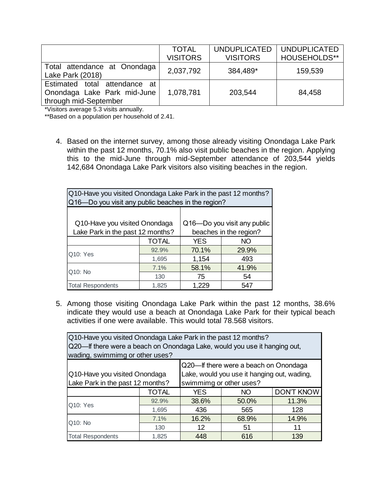|                                                                                       | <b>TOTAL</b>    | <b>UNDUPLICATED</b> | <b>UNDUPLICATED</b> |
|---------------------------------------------------------------------------------------|-----------------|---------------------|---------------------|
|                                                                                       | <b>VISITORS</b> | <b>VISITORS</b>     | <b>HOUSEHOLDS**</b> |
| Total attendance at Onondaga<br>Lake Park (2018)                                      | 2,037,792       | 384,489*            | 159,539             |
| Estimated total attendance at<br>Onondaga Lake Park mid-June<br>through mid-September | 1,078,781       | 203,544             | 84,458              |

\*Visitors average 5.3 visits annually.

\*\*Based on a population per household of 2.41.

4. Based on the internet survey, among those already visiting Onondaga Lake Park within the past 12 months, 70.1% also visit public beaches in the region. Applying this to the mid-June through mid-September attendance of 203,544 yields 142,684 Onondaga Lake Park visitors also visiting beaches in the region.

| Q10-Have you visited Onondaga Lake Park in the past 12 months?<br>Q16-Do you visit any public beaches in the region? |                        |            |       |  |  |
|----------------------------------------------------------------------------------------------------------------------|------------------------|------------|-------|--|--|
|                                                                                                                      |                        |            |       |  |  |
| Q16-Do you visit any public<br>Q10-Have you visited Onondaga                                                         |                        |            |       |  |  |
| Lake Park in the past 12 months?                                                                                     | beaches in the region? |            |       |  |  |
|                                                                                                                      | <b>TOTAL</b>           | <b>YES</b> | NO.   |  |  |
| Q10: Yes                                                                                                             | 92.9%                  | 70.1%      | 29.9% |  |  |
|                                                                                                                      | 1,695                  | 1,154      | 493   |  |  |
| Q10: No                                                                                                              | 7.1%                   | 58.1%      | 41.9% |  |  |
|                                                                                                                      | 130                    | 75         | 54    |  |  |
| <b>Total Respondents</b><br>1.825<br>1,229<br>547                                                                    |                        |            |       |  |  |

5. Among those visiting Onondaga Lake Park within the past 12 months, 38.6% indicate they would use a beach at Onondaga Lake Park for their typical beach activities if one were available. This would total 78.568 visitors.

| Q10-Have you visited Onondaga Lake Park in the past 12 months?<br>Q20—If there were a beach on Onondaga Lake, would you use it hanging out,<br>wading, swimmimg or other uses?       |                                                              |       |       |       |  |  |
|--------------------------------------------------------------------------------------------------------------------------------------------------------------------------------------|--------------------------------------------------------------|-------|-------|-------|--|--|
| Q20—If there were a beach on Onondaga<br>Lake, would you use it hanging out, wading,<br>Q10-Have you visited Onondaga<br>Lake Park in the past 12 months?<br>swimmimg or other uses? |                                                              |       |       |       |  |  |
|                                                                                                                                                                                      | <b>TOTAL</b><br><b>DON'T KNOW</b><br><b>YES</b><br><b>NO</b> |       |       |       |  |  |
| 92.9%<br>50.0%<br>38.6%                                                                                                                                                              |                                                              | 11.3% |       |       |  |  |
| Q10: Yes<br>1,695<br>436<br>565<br>128                                                                                                                                               |                                                              |       |       |       |  |  |
| 7.1%                                                                                                                                                                                 |                                                              | 16.2% | 68.9% | 14.9% |  |  |
| Q10: No<br>12<br>51<br>130<br>11                                                                                                                                                     |                                                              |       |       |       |  |  |
| <b>Total Respondents</b>                                                                                                                                                             | 1.825                                                        | 448   | 616   | 139   |  |  |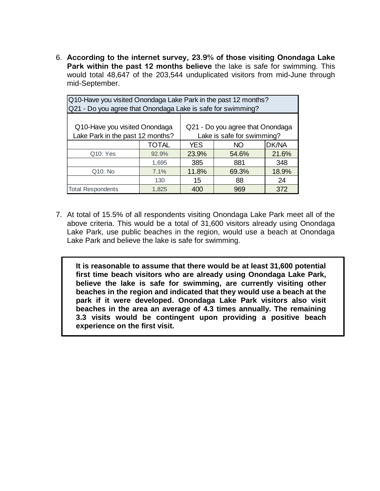6. **According to the internet survey, 23.9% of those visiting Onondaga Lake Park within the past 12 months believe** the lake is safe for swimming. This would total 48,647 of the 203,544 unduplicated visitors from mid-June through mid-September.

| Q10-Have you visited Onondaga Lake Park in the past 12 months?<br>Q21 - Do you agree that Onondaga Lake is safe for swimming?       |                            |                         |  |  |  |  |
|-------------------------------------------------------------------------------------------------------------------------------------|----------------------------|-------------------------|--|--|--|--|
| Q10-Have you visited Onondaga<br>Q21 - Do you agree that Onondaga<br>Lake Park in the past 12 months?<br>Lake is safe for swimming? |                            |                         |  |  |  |  |
| DK/NA<br><b>TOTAL</b><br><b>YES</b><br>NO                                                                                           |                            |                         |  |  |  |  |
| Q10: Yes                                                                                                                            | 92.9%                      | 23.9%<br>21.6%<br>54.6% |  |  |  |  |
|                                                                                                                                     | 1,695<br>385<br>881<br>348 |                         |  |  |  |  |
| 11.8%<br>69.3%<br>18.9%<br>Q10: No<br>7.1%                                                                                          |                            |                         |  |  |  |  |
| 88<br>130<br>15<br>24                                                                                                               |                            |                         |  |  |  |  |
| <b>Total Respondents</b><br>1,825<br>400<br>372<br>969                                                                              |                            |                         |  |  |  |  |

7. At total of 15.5% of all respondents visiting Onondaga Lake Park meet all of the above criteria. This would be a total of 31,600 visitors already using Onondaga Lake Park, use public beaches in the region, would use a beach at Onondaga Lake Park and believe the lake is safe for swimming.

**It is reasonable to assume that there would be at least 31,600 potential first time beach visitors who are already using Onondaga Lake Park, believe the lake is safe for swimming, are currently visiting other beaches in the region and indicated that they would use a beach at the park if it were developed. Onondaga Lake Park visitors also visit beaches in the area an average of 4.3 times annually. The remaining 3.3 visits would be contingent upon providing a positive beach experience on the first visit.**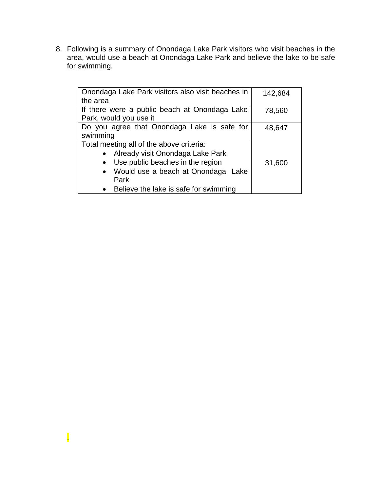8. Following is a summary of Onondaga Lake Park visitors who visit beaches in the area, would use a beach at Onondaga Lake Park and believe the lake to be safe for swimming.

| Onondaga Lake Park visitors also visit beaches in       | 142,684 |  |  |
|---------------------------------------------------------|---------|--|--|
| the area                                                |         |  |  |
| If there were a public beach at Onondaga Lake           | 78,560  |  |  |
| Park, would you use it                                  |         |  |  |
| Do you agree that Onondaga Lake is safe for             | 48,647  |  |  |
| swimming                                                |         |  |  |
| Total meeting all of the above criteria:                |         |  |  |
| Already visit Onondaga Lake Park                        |         |  |  |
| Use public beaches in the region<br>31,600<br>$\bullet$ |         |  |  |
| • Would use a beach at Onondaga Lake                    |         |  |  |
| Park                                                    |         |  |  |
| Believe the lake is safe for swimming                   |         |  |  |

.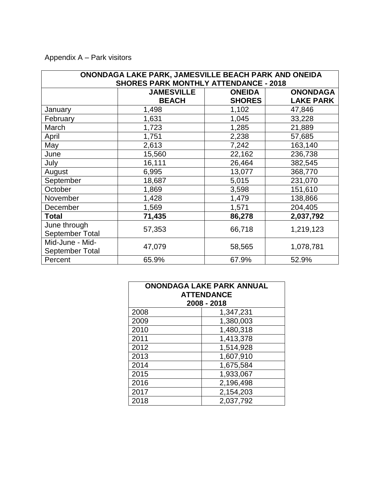Appendix A – Park visitors

| ONONDAGA LAKE PARK, JAMESVILLE BEACH PARK AND ONEIDA |                                              |               |                  |
|------------------------------------------------------|----------------------------------------------|---------------|------------------|
|                                                      | <b>SHORES PARK MONTHLY ATTENDANCE - 2018</b> |               |                  |
|                                                      | <b>JAMESVILLE</b>                            | <b>ONEIDA</b> | <b>ONONDAGA</b>  |
|                                                      | <b>BEACH</b>                                 | <b>SHORES</b> | <b>LAKE PARK</b> |
| January                                              | 1,498                                        | 1,102         | 47,846           |
| February                                             | 1,631                                        | 1,045         | 33,228           |
| March                                                | 1,723                                        | 1,285         | 21,889           |
| April                                                | 1,751                                        | 2,238         | 57,685           |
| May                                                  | 2,613                                        | 7,242         | 163,140          |
| June                                                 | 15,560                                       | 22,162        | 236,738          |
| July                                                 | 16,111                                       | 26,464        | 382,545          |
| August                                               | 6,995                                        | 13,077        | 368,770          |
| September                                            | 18,687                                       | 5,015         | 231,070          |
| October                                              | 1,869                                        | 3,598         | 151,610          |
| November                                             | 1,428                                        | 1,479         | 138,866          |
| December                                             | 1,569                                        | 1,571         | 204,405          |
| Total                                                | 71,435                                       | 86,278        | 2,037,792        |
| June through                                         | 57,353                                       | 66,718        | 1,219,123        |
| <b>September Total</b>                               |                                              |               |                  |
| Mid-June - Mid-                                      | 47,079                                       |               | 1,078,781        |
| September Total                                      |                                              | 58,565        |                  |
| Percent                                              | 65.9%                                        | 67.9%         | 52.9%            |

| <b>ONONDAGA LAKE PARK ANNUAL</b><br><b>ATTENDANCE</b><br>2008 - 2018 |           |  |  |
|----------------------------------------------------------------------|-----------|--|--|
| 2008                                                                 | 1,347,231 |  |  |
| 2009                                                                 | 1,380,003 |  |  |
| 2010                                                                 | 1,480,318 |  |  |
| 2011                                                                 | 1,413,378 |  |  |
| 2012                                                                 | 1,514,928 |  |  |
| 2013                                                                 | 1,607,910 |  |  |
| 2014                                                                 | 1,675,584 |  |  |
| 2015                                                                 | 1,933,067 |  |  |
| 2016                                                                 | 2,196,498 |  |  |
| 2017                                                                 | 2,154,203 |  |  |
| 2018                                                                 | 2,037,792 |  |  |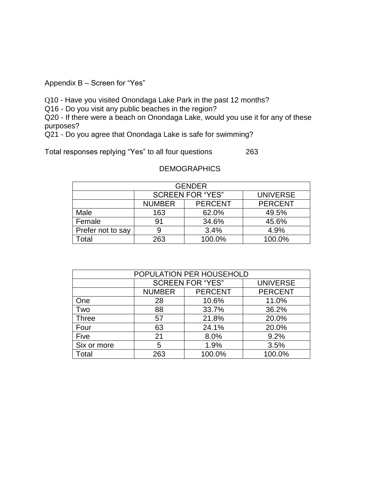Appendix B – Screen for "Yes"

Q10 - Have you visited Onondaga Lake Park in the past 12 months?

Q16 - Do you visit any public beaches in the region?

Q20 - If there were a beach on Onondaga Lake, would you use it for any of these purposes?

Q21 - Do you agree that Onondaga Lake is safe for swimming?

Total responses replying "Yes" to all four questions 263

## **DEMOGRAPHICS**

| <b>GENDER</b>     |                                                   |       |       |  |
|-------------------|---------------------------------------------------|-------|-------|--|
|                   | <b>SCREEN FOR "YES"</b><br><b>UNIVERSE</b>        |       |       |  |
|                   | <b>PERCENT</b><br><b>PERCENT</b><br><b>NUMBER</b> |       |       |  |
| Male              | 163                                               | 62.0% | 49.5% |  |
| Female            | 91                                                | 34.6% | 45.6% |  |
| Prefer not to say |                                                   | 4.9%  |       |  |
| <b>Total</b>      | 100.0%<br>100.0%<br>263                           |       |       |  |

| POPULATION PER HOUSEHOLD |                                 |                 |                |  |
|--------------------------|---------------------------------|-----------------|----------------|--|
|                          | <b>SCREEN FOR "YES"</b>         | <b>UNIVERSE</b> |                |  |
|                          | <b>PERCENT</b><br><b>NUMBER</b> |                 | <b>PERCENT</b> |  |
| One                      | 28                              | 10.6%           | 11.0%          |  |
| Two                      | 33.7%<br>88                     |                 | 36.2%          |  |
| <b>Three</b>             | 57                              | 21.8%           | 20.0%          |  |
| Four                     | 63                              | 24.1%           | 20.0%          |  |
| Five                     | 8.0%<br>21                      |                 | 9.2%           |  |
| Six or more              | 1.9%<br>5                       |                 | 3.5%           |  |
| Total                    | 263                             | 100.0%          | 100.0%         |  |